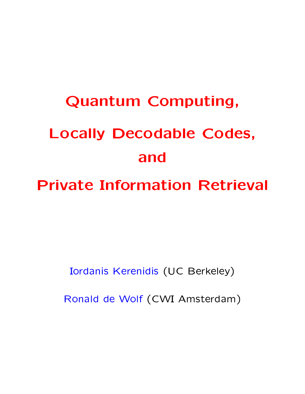# **Quantum Computing, Locally Decodable Codes,** and

**Private Information Retrieval** 

Iordanis Kerenidis (UC Berkeley)

Ronald de Wolf (CWI Amsterdam)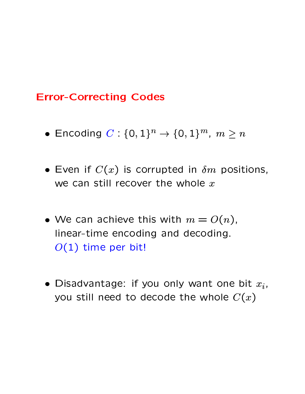# **Error-Correcting Codes**

- Encoding  $C: \{0,1\}^n \to \{0,1\}^m$ ,  $m \ge n$
- Even if  $C(x)$  is corrupted in  $\delta m$  positions, we can still recover the whole  $x$
- We can achieve this with  $m = O(n)$ , linear-time encoding and decoding.  $O(1)$  time per bit!
- Disadvantage: if you only want one bit  $x_i$ , you still need to decode the whole  $C(x)$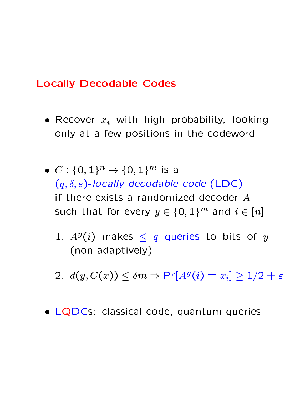# **Locally Decodable Codes**

- Recover  $x_i$  with high probability, looking only at a few positions in the codeword
- $C: \{0,1\}^n \rightarrow \{0,1\}^m$  is a  $(q, \delta, \varepsilon)$ -locally decodable code (LDC) if there exists a randomized decoder  $A$ such that for every  $y \in \{0,1\}^m$  and  $i \in [n]$ 
	- 1.  $A^y(i)$  makes  $\leq q$  queries to bits of y (non-adaptively)
	- 2.  $d(y, C(x)) \leq \delta m \Rightarrow Pr[A^y(i) = x_i] \geq 1/2 + \varepsilon$
- LQDCs: classical code, quantum queries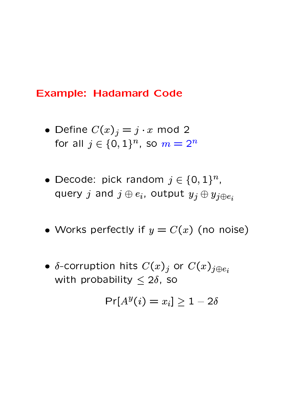## **Example: Hadamard Code**

- Define  $C(x)_j = j \cdot x$  mod 2 for all  $j \in \{0,1\}^n$ , so  $m = 2^n$
- Decode: pick random  $j \in \{0,1\}^n$ , query j and  $j \oplus e_i$ , output  $y_j \oplus y_{j \oplus e_i}$
- Works perfectly if  $y = C(x)$  (no noise)
- $\delta$ -corruption hits  $C(x)_j$  or  $C(x)_{j \oplus e_i}$ with probability  $\leq 2\delta$ , so

$$
\Pr[A^y(i) = x_i] \ge 1 - 2\delta
$$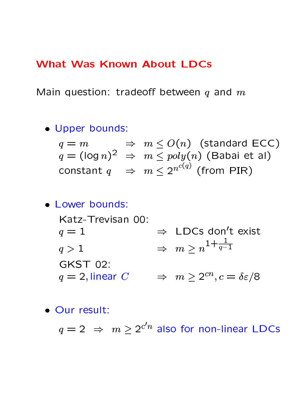## **What Was Known About LDCs**

Main question: tradeoff between  $q$  and  $m$ 

· Upper bounds:

$$
q = m \Rightarrow m \leq O(n) \text{ (standard ECC)}
$$
  
\n
$$
q = (\log n)^2 \Rightarrow m \leq poly(n) \text{ (Babai et al)}
$$
  
\nconstant  $q \Rightarrow m \leq 2^{n^{c(q)}} \text{ (from PIR)}$ 

• Lower bounds:

Katz-Trevisan 00:  $\Rightarrow$  LDCs don't exist  $q=1$  $\Rightarrow m \geq n^{1+\frac{1}{q-1}}$  $q>1$ **GKST 02:**  $q = 2$ , linear  $C \Rightarrow m \geq 2^{cn}, c = \delta \varepsilon/8$ 

· Our result:

 $q=2$   $\Rightarrow$   $m \geq 2^{c'n}$  also for non-linear LDCs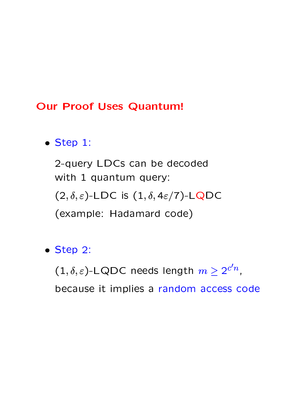## **Our Proof Uses Quantum!**

- $\bullet$  Step 1:
	- 2-query LDCs can be decoded with 1 quantum query:
	- $(2,\delta,\varepsilon)$ -LDC is  $(1,\delta,4\varepsilon/7)$ -LQDC
	- (example: Hadamard code)
- $\bullet$  Step 2:

 $(1,\delta,\varepsilon)$ -LQDC needs length  $m\geq 2^{c'n},$ 

because it implies a random access code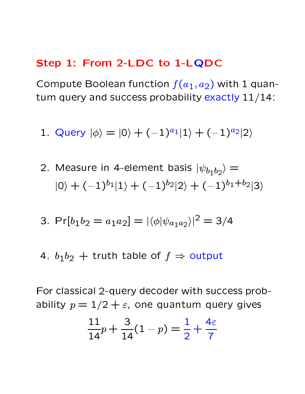## Step 1: From 2-LDC to 1-LQDC

Compute Boolean function  $f(a_1, a_2)$  with 1 quantum query and success probability exactly 11/14:

- 1. Query  $|\phi\rangle = |0\rangle + (-1)^{a_1} |1\rangle + (-1)^{a_2} |2\rangle$
- 2. Measure in 4-element basis  $|\psi_{b_1b_2}\rangle =$  $|0\rangle + (-1)^{b_1} |1\rangle + (-1)^{b_2} |2\rangle + (-1)^{b_1+b_2} |3\rangle$

3. 
$$
Pr[b_1b_2 = a_1a_2] = |\langle \phi | \psi_{a_1a_2} \rangle|^2 = 3/4
$$

4.  $b_1b_2$  + truth table of  $f \Rightarrow$  output

For classical 2-query decoder with success probability  $p = 1/2 + \varepsilon$ , one quantum query gives

$$
\frac{11}{14}p + \frac{3}{14}(1-p) = \frac{1}{2} + \frac{4\varepsilon}{7}
$$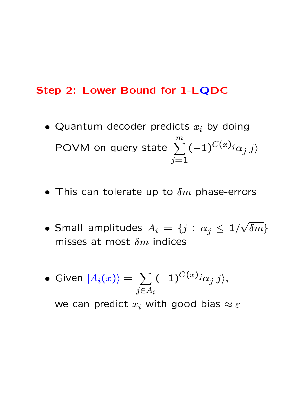#### Step 2: Lower Bound for 1-LQDC

- Quantum decoder predicts  $x_i$  by doing POVM on query state  $\sum_{i=1}^{m} (-1)^{C(x)} i \alpha_j |j\rangle$
- This can tolerate up to  $\delta m$  phase-errors
- Small amplitudes  $A_i = \{j : \alpha_j \leq 1/\sqrt{\delta m}\}\$ misses at most  $\delta m$  indices
- Given  $|A_i(x)\rangle = \sum_{j\in A_i} (-1)^{C(x)} i\alpha_j |j\rangle,$

we can predict  $x_i$  with good bias  $\approx \varepsilon$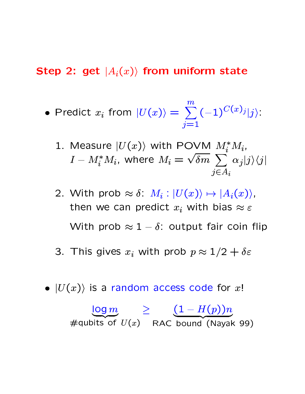#### $\blacksquare$  :  $\blacksquare$  :  $\blacksquare$  :  $\blacksquare$  :  $\blacksquare$  :  $\blacksquare$  :  $\blacksquare$  :  $\blacksquare$  :  $\blacksquare$  :  $\blacksquare$  :  $\blacksquare$  :  $\blacksquare$  :  $\blacksquare$  :  $\blacksquare$  :  $\blacksquare$  :  $\blacksquare$  :  $\blacksquare$  :  $\blacksquare$  :  $\blacksquare$  :  $\blacksquare$  :  $\blacksquare$  :  $\blacksquare$  :  $\blacksquare$  :  $\blacksquare$  :  $\blacksquare$

• Predict 
$$
x_i
$$
 from  $|U(x)\rangle = \sum_{j=1}^m (-1)^{C(x)_j} |j\rangle$ :

1. Measure 
$$
|U(x)\rangle
$$
 with POVM  $M_i^* M_i$ ,  
\n $I - M_i^* M_i$ , where  $M_i = \sqrt{\delta m} \sum_{j \in A_i} \alpha_j |j\rangle\langle j|$ 

- 2. With prob  $\approx \delta$ :  $M_i : |U(x)\rangle \mapsto |A_i(x)\rangle$ , then we can predict  $x_i$  with bias  $\approx \varepsilon$ With prob  $\approx 1-\delta$ : output fair coin flip  $\qquad \qquad \blacksquare$
- $\Omega$  This sime  $\Omega$  . This put  $\mathbb{R}^d$  and  $\mathbb{R}^d$  and  $\mathbb{R}^d$  and  $\mathbb{R}^d$  are  $\mathbb{R}^d$  and  $\mathbb{R}^d$  are  $\mathbb{R}^d$  and  $\mathbb{R}^d$  are  $\mathbb{R}^d$  and  $\mathbb{R}^d$  are  $\mathbb{R}^d$  and  $\mathbb{R}^d$  are  $\mathbb{R}^d$
- $\bullet$   $|U(x)\rangle$  is a random access code for  $x!$

$$
\frac{\log m}{\text{4440 bits of } U(x)} \geq \frac{(1 - H(p))n}{\text{RAC bound (Nayak 99)}}
$$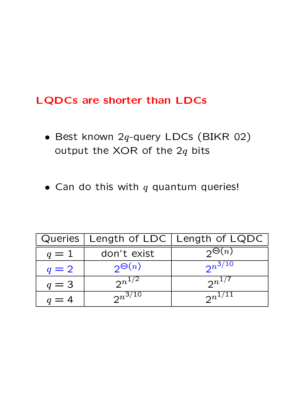## **LQDCs are shorter than LDCs**

- Best known  $2q$ -query LDCs (BIKR 02) output the XOR of the  $2q$  bits
- Can do this with  $q$  quantum queries!

|       |                | Queries   Length of LDC   Length of LQDC |
|-------|----------------|------------------------------------------|
| $q=1$ | don't exist    | $\mathcal{D}^{\Theta(n)}$                |
| $q=2$ | $2\Theta(n)$   | $2^{n^{3/10}}$                           |
| $q=3$ | $2^{n^{1/2}}$  | $2^{n^{1/7}}$                            |
| $q=4$ | $2^{n^{3/10}}$ | $2^{n^{1/11}}$                           |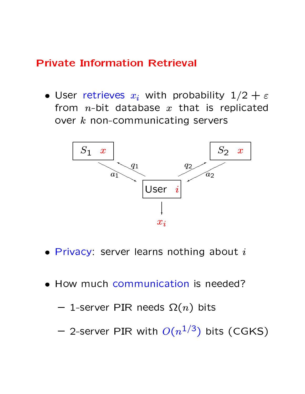# **Private Information Retrieval**

• User retrieves  $x_i$  with probability  $1/2 + \varepsilon$ from  $n$ -bit database  $x$  that is replicated over  $k$  non-communicating servers



- $\bullet$  Privacy: server learns nothing about  $i$
- How much communication is needed?

$$
-
$$
 1-server PIR needs  $\Omega(n)$  bits

- 2-server PIR with  $O(n^{1/3})$  bits (CGKS)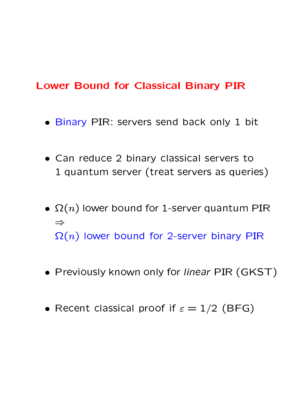# **Lower Bound for Classical Binary PIR**

- . Binary PIR: servers send back only 1 bit
- Can reduce 2 binary classical servers to 1 quantum server (treat servers as queries)
- $\Omega(n)$  lower bound for 1-server quantum PIR  $\Rightarrow$  $\Omega(n)$  lower bound for 2-server binary PIR
- Previously known only for linear PIR (GKST)
- Recent classical proof if  $\varepsilon = 1/2$  (BFG)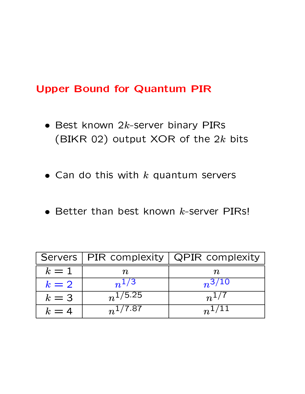# **Upper Bound for Quantum PIR**

- $\bullet$  Best known 2k-server binary PIRs (BIKR 02) output XOR of the 2k bits
- Can do this with  $k$  quantum servers
- $\bullet$  Better than best known  $k$ -server PIRs!

|       | Servers   PIR complexity | QPIR complexity       |
|-------|--------------------------|-----------------------|
| $k=1$ | 'N.                      | $\boldsymbol{n}$      |
| $k=2$ | $n^{1/3}$                | $n^{3/\overline{10}}$ |
| $k=3$ | $n^{1/5.25}$             | $n^{1/7}$             |
| $k=4$ | $n^{1/7.87}$             | $n^{1/11}$            |